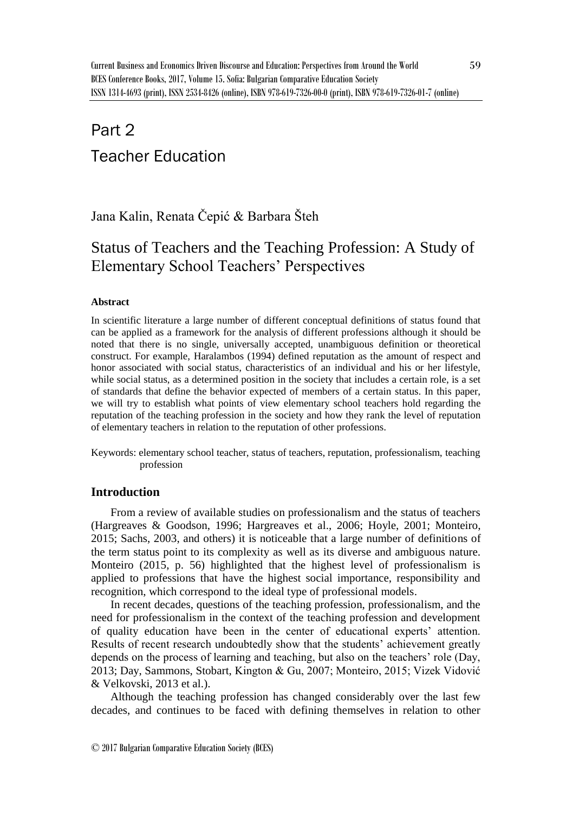# Part 2 Teacher Education

Jana Kalin, Renata Čepić & Barbara Šteh

# Status of Teachers and the Teaching Profession: A Study of Elementary School Teachers' Perspectives

### **Abstract**

In scientific literature a large number of different conceptual definitions of status found that can be applied as a framework for the analysis of different professions although it should be noted that there is no single, universally accepted, unambiguous definition or theoretical construct. For example, Haralambos (1994) defined reputation as the amount of respect and honor associated with social status, characteristics of an individual and his or her lifestyle, while social status, as a determined position in the society that includes a certain role, is a set of standards that define the behavior expected of members of a certain status. In this paper, we will try to establish what points of view elementary school teachers hold regarding the reputation of the teaching profession in the society and how they rank the level of reputation of elementary teachers in relation to the reputation of other professions.

Keywords: elementary school teacher, status of teachers, reputation, professionalism, teaching profession

# **Introduction**

From a review of available studies on professionalism and the status of teachers (Hargreaves & Goodson, 1996; Hargreaves et al., 2006; Hoyle, 2001; Monteiro, 2015; Sachs, 2003, and others) it is noticeable that a large number of definitions of the term status point to its complexity as well as its diverse and ambiguous nature. Monteiro (2015, p. 56) highlighted that the highest level of professionalism is applied to professions that have the highest social importance, responsibility and recognition, which correspond to the ideal type of professional models.

In recent decades, questions of the teaching profession, professionalism, and the need for professionalism in the context of the teaching profession and development of quality education have been in the center of educational experts' attention. Results of recent research undoubtedly show that the students' achievement greatly depends on the process of learning and teaching, but also on the teachers' role (Day, 2013; Day, Sammons, Stobart, Kington & Gu, 2007; Monteiro, 2015; Vizek Vidović & Velkovski, 2013 et al.).

Although the teaching profession has changed considerably over the last few decades, and continues to be faced with defining themselves in relation to other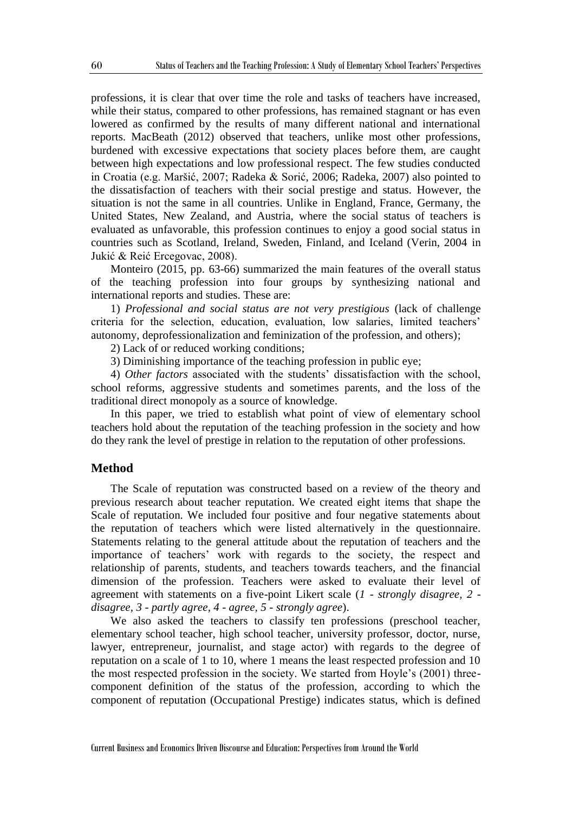professions, it is clear that over time the role and tasks of teachers have increased, while their status, compared to other professions, has remained stagnant or has even lowered as confirmed by the results of many different national and international reports. MacBeath (2012) observed that teachers, unlike most other professions, burdened with excessive expectations that society places before them, are caught between high expectations and low professional respect. The few studies conducted in Croatia (e.g. Maršić, 2007; Radeka & Sorić, 2006; Radeka, 2007) also pointed to the dissatisfaction of teachers with their social prestige and status. However, the situation is not the same in all countries. Unlike in England, France, Germany, the United States, New Zealand, and Austria, where the social status of teachers is evaluated as unfavorable, this profession continues to enjoy a good social status in countries such as Scotland, Ireland, Sweden, Finland, and Iceland (Verin, 2004 in Jukić & Reić Ercegovac, 2008).

Monteiro (2015, pp. 63-66) summarized the main features of the overall status of the teaching profession into four groups by synthesizing national and international reports and studies. These are:

1) *Professional and social status are not very prestigious* (lack of challenge criteria for the selection, education, evaluation, low salaries, limited teachers' autonomy, deprofessionalization and feminization of the profession, and others);

2) Lack of or reduced working conditions;

3) Diminishing importance of the teaching profession in public eye;

4) *Other factors* associated with the students' dissatisfaction with the school, school reforms, aggressive students and sometimes parents, and the loss of the traditional direct monopoly as a source of knowledge.

In this paper, we tried to establish what point of view of elementary school teachers hold about the reputation of the teaching profession in the society and how do they rank the level of prestige in relation to the reputation of other professions.

#### **Method**

The Scale of reputation was constructed based on a review of the theory and previous research about teacher reputation. We created eight items that shape the Scale of reputation. We included four positive and four negative statements about the reputation of teachers which were listed alternatively in the questionnaire. Statements relating to the general attitude about the reputation of teachers and the importance of teachers' work with regards to the society, the respect and relationship of parents, students, and teachers towards teachers, and the financial dimension of the profession. Teachers were asked to evaluate their level of agreement with statements on a five-point Likert scale (*1 - strongly disagree, 2 disagree, 3 - partly agree, 4 - agree, 5 - strongly agree*).

We also asked the teachers to classify ten professions (preschool teacher, elementary school teacher, high school teacher, university professor, doctor, nurse, lawyer, entrepreneur, journalist, and stage actor) with regards to the degree of reputation on a scale of 1 to 10, where 1 means the least respected profession and 10 the most respected profession in the society. We started from Hoyle's (2001) threecomponent definition of the status of the profession, according to which the component of reputation (Occupational Prestige) indicates status, which is defined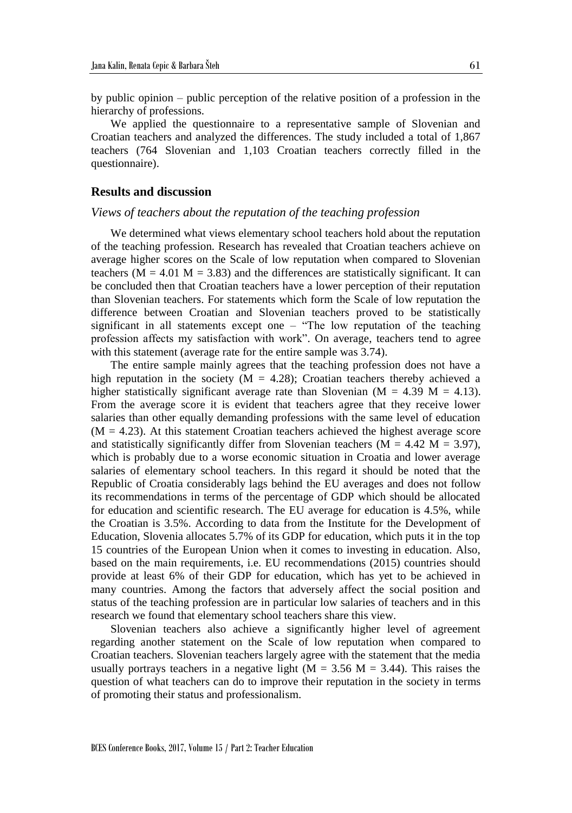by public opinion – public perception of the relative position of a profession in the hierarchy of professions.

We applied the questionnaire to a representative sample of Slovenian and Croatian teachers and analyzed the differences. The study included a total of 1,867 teachers (764 Slovenian and 1,103 Croatian teachers correctly filled in the questionnaire).

#### **Results and discussion**

#### *Views of teachers about the reputation of the teaching profession*

We determined what views elementary school teachers hold about the reputation of the teaching profession. Research has revealed that Croatian teachers achieve on average higher scores on the Scale of low reputation when compared to Slovenian teachers ( $M = 4.01$   $M = 3.83$ ) and the differences are statistically significant. It can be concluded then that Croatian teachers have a lower perception of their reputation than Slovenian teachers. For statements which form the Scale of low reputation the difference between Croatian and Slovenian teachers proved to be statistically significant in all statements except one  $-$  "The low reputation of the teaching profession affects my satisfaction with work". On average, teachers tend to agree with this statement (average rate for the entire sample was 3.74).

The entire sample mainly agrees that the teaching profession does not have a high reputation in the society ( $M = 4.28$ ); Croatian teachers thereby achieved a higher statistically significant average rate than Slovenian ( $M = 4.39$  M = 4.13). From the average score it is evident that teachers agree that they receive lower salaries than other equally demanding professions with the same level of education  $(M = 4.23)$ . At this statement Croatian teachers achieved the highest average score and statistically significantly differ from Slovenian teachers ( $M = 4.42$  M = 3.97), which is probably due to a worse economic situation in Croatia and lower average salaries of elementary school teachers. In this regard it should be noted that the Republic of Croatia considerably lags behind the EU averages and does not follow its recommendations in terms of the percentage of GDP which should be allocated for education and scientific research. The EU average for education is 4.5%, while the Croatian is 3.5%. According to data from the Institute for the Development of Education, Slovenia allocates 5.7% of its GDP for education, which puts it in the top 15 countries of the European Union when it comes to investing in education. Also, based on the main requirements, i.e. EU recommendations (2015) countries should provide at least 6% of their GDP for education, which has yet to be achieved in many countries. Among the factors that adversely affect the social position and status of the teaching profession are in particular low salaries of teachers and in this research we found that elementary school teachers share this view.

Slovenian teachers also achieve a significantly higher level of agreement regarding another statement on the Scale of low reputation when compared to Croatian teachers. Slovenian teachers largely agree with the statement that the media usually portrays teachers in a negative light ( $M = 3.56$  M = 3.44). This raises the question of what teachers can do to improve their reputation in the society in terms of promoting their status and professionalism.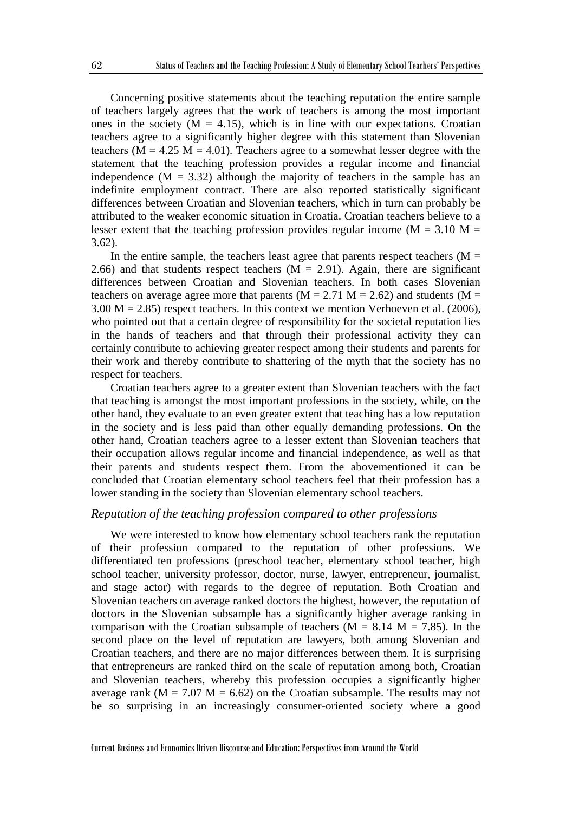Concerning positive statements about the teaching reputation the entire sample of teachers largely agrees that the work of teachers is among the most important ones in the society  $(M = 4.15)$ , which is in line with our expectations. Croatian teachers agree to a significantly higher degree with this statement than Slovenian teachers ( $M = 4.25$  M = 4.01). Teachers agree to a somewhat lesser degree with the statement that the teaching profession provides a regular income and financial independence  $(M = 3.32)$  although the majority of teachers in the sample has an indefinite employment contract. There are also reported statistically significant differences between Croatian and Slovenian teachers, which in turn can probably be attributed to the weaker economic situation in Croatia. Croatian teachers believe to a lesser extent that the teaching profession provides regular income ( $M = 3.10$  M = 3.62).

In the entire sample, the teachers least agree that parents respect teachers ( $M =$ 2.66) and that students respect teachers  $(M = 2.91)$ . Again, there are significant differences between Croatian and Slovenian teachers. In both cases Slovenian teachers on average agree more that parents ( $M = 2.71$  M = 2.62) and students ( $M =$  $3.00 \text{ M} = 2.85$ ) respect teachers. In this context we mention Verhoeven et al. (2006), who pointed out that a certain degree of responsibility for the societal reputation lies in the hands of teachers and that through their professional activity they can certainly contribute to achieving greater respect among their students and parents for their work and thereby contribute to shattering of the myth that the society has no respect for teachers.

Croatian teachers agree to a greater extent than Slovenian teachers with the fact that teaching is amongst the most important professions in the society, while, on the other hand, they evaluate to an even greater extent that teaching has a low reputation in the society and is less paid than other equally demanding professions. On the other hand, Croatian teachers agree to a lesser extent than Slovenian teachers that their occupation allows regular income and financial independence, as well as that their parents and students respect them. From the abovementioned it can be concluded that Croatian elementary school teachers feel that their profession has a lower standing in the society than Slovenian elementary school teachers.

#### *Reputation of the teaching profession compared to other professions*

We were interested to know how elementary school teachers rank the reputation of their profession compared to the reputation of other professions. We differentiated ten professions (preschool teacher, elementary school teacher, high school teacher, university professor, doctor, nurse, lawyer, entrepreneur, journalist, and stage actor) with regards to the degree of reputation. Both Croatian and Slovenian teachers on average ranked doctors the highest, however, the reputation of doctors in the Slovenian subsample has a significantly higher average ranking in comparison with the Croatian subsample of teachers ( $M = 8.14$  M = 7.85). In the second place on the level of reputation are lawyers, both among Slovenian and Croatian teachers, and there are no major differences between them. It is surprising that entrepreneurs are ranked third on the scale of reputation among both, Croatian and Slovenian teachers, whereby this profession occupies a significantly higher average rank ( $M = 7.07$  M = 6.62) on the Croatian subsample. The results may not be so surprising in an increasingly consumer-oriented society where a good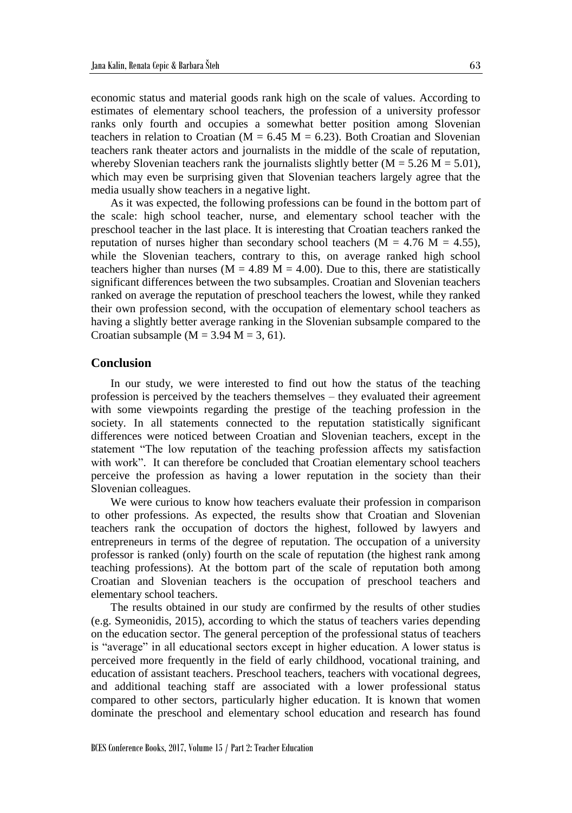economic status and material goods rank high on the scale of values. According to estimates of elementary school teachers, the profession of a university professor ranks only fourth and occupies a somewhat better position among Slovenian teachers in relation to Croatian ( $M = 6.45$  M = 6.23). Both Croatian and Slovenian teachers rank theater actors and journalists in the middle of the scale of reputation, whereby Slovenian teachers rank the journalists slightly better  $(M = 5.26 M = 5.01)$ , which may even be surprising given that Slovenian teachers largely agree that the media usually show teachers in a negative light.

As it was expected, the following professions can be found in the bottom part of the scale: high school teacher, nurse, and elementary school teacher with the preschool teacher in the last place. It is interesting that Croatian teachers ranked the reputation of nurses higher than secondary school teachers ( $M = 4.76$  M = 4.55), while the Slovenian teachers, contrary to this, on average ranked high school teachers higher than nurses ( $M = 4.89$  M = 4.00). Due to this, there are statistically significant differences between the two subsamples. Croatian and Slovenian teachers ranked on average the reputation of preschool teachers the lowest, while they ranked their own profession second, with the occupation of elementary school teachers as having a slightly better average ranking in the Slovenian subsample compared to the Croatian subsample ( $M = 3.94$   $M = 3, 61$ ).

#### **Conclusion**

In our study, we were interested to find out how the status of the teaching profession is perceived by the teachers themselves – they evaluated their agreement with some viewpoints regarding the prestige of the teaching profession in the society. In all statements connected to the reputation statistically significant differences were noticed between Croatian and Slovenian teachers, except in the statement "The low reputation of the teaching profession affects my satisfaction with work". It can therefore be concluded that Croatian elementary school teachers perceive the profession as having a lower reputation in the society than their Slovenian colleagues.

We were curious to know how teachers evaluate their profession in comparison to other professions. As expected, the results show that Croatian and Slovenian teachers rank the occupation of doctors the highest, followed by lawyers and entrepreneurs in terms of the degree of reputation. The occupation of a university professor is ranked (only) fourth on the scale of reputation (the highest rank among teaching professions). At the bottom part of the scale of reputation both among Croatian and Slovenian teachers is the occupation of preschool teachers and elementary school teachers.

The results obtained in our study are confirmed by the results of other studies (e.g. Symeonidis, 2015), according to which the status of teachers varies depending on the education sector. The general perception of the professional status of teachers is "average" in all educational sectors except in higher education. A lower status is perceived more frequently in the field of early childhood, vocational training, and education of assistant teachers. Preschool teachers, teachers with vocational degrees, and additional teaching staff are associated with a lower professional status compared to other sectors, particularly higher education. It is known that women dominate the preschool and elementary school education and research has found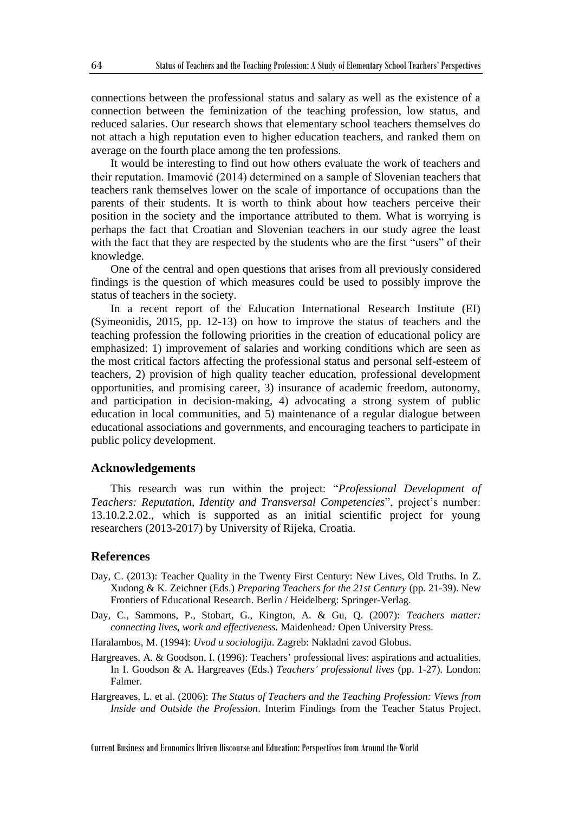connections between the professional status and salary as well as the existence of a connection between the feminization of the teaching profession, low status, and reduced salaries. Our research shows that elementary school teachers themselves do not attach a high reputation even to higher education teachers, and ranked them on average on the fourth place among the ten professions.

It would be interesting to find out how others evaluate the work of teachers and their reputation. Imamović (2014) determined on a sample of Slovenian teachers that teachers rank themselves lower on the scale of importance of occupations than the parents of their students. It is worth to think about how teachers perceive their position in the society and the importance attributed to them. What is worrying is perhaps the fact that Croatian and Slovenian teachers in our study agree the least with the fact that they are respected by the students who are the first "users" of their knowledge.

One of the central and open questions that arises from all previously considered findings is the question of which measures could be used to possibly improve the status of teachers in the society.

In a recent report of the Education International Research Institute (EI) (Symeonidis, 2015, pp. 12-13) on how to improve the status of teachers and the teaching profession the following priorities in the creation of educational policy are emphasized: 1) improvement of salaries and working conditions which are seen as the most critical factors affecting the professional status and personal self-esteem of teachers, 2) provision of high quality teacher education, professional development opportunities, and promising career, 3) insurance of academic freedom, autonomy, and participation in decision-making, 4) advocating a strong system of public education in local communities, and 5) maintenance of a regular dialogue between educational associations and governments, and encouraging teachers to participate in public policy development.

#### **Acknowledgements**

This research was run within the project: "*Professional Development of Teachers: Reputation, Identity and Transversal Competencies*", project's number: 13.10.2.2.02., which is supported as an initial scientific project for young researchers (2013-2017) by University of Rijeka, Croatia.

## **References**

- Day, C. (2013): Teacher Quality in the Twenty First Century: New Lives, Old Truths. In Z. Xudong & K. Zeichner (Eds.) *Preparing Teachers for the 21st Century* (pp. 21-39). New Frontiers of Educational Research. Berlin / Heidelberg: Springer-Verlag.
- Day, C., Sammons, P., Stobart, G., Kington, A. & Gu, Q. (2007): *Teachers matter: connecting lives, work and effectiveness.* Maidenhead*:* Open University Press.
- Haralambos, M. (1994): *Uvod u sociologiju*. Zagreb: Nakladni zavod Globus.
- Hargreaves, A. & Goodson, I. (1996): Teachers' professional lives: aspirations and actualities. In I. Goodson & A. Hargreaves (Eds.) *Teachers' professional lives* (pp. 1-27). London: Falmer.
- Hargreaves, L. et al. (2006): *The Status of Teachers and the Teaching Profession: Views from Inside and Outside the Profession*. Interim Findings from the Teacher Status Project.

Current Business and Economics Driven Discourse and Education: Perspectives from Around the World